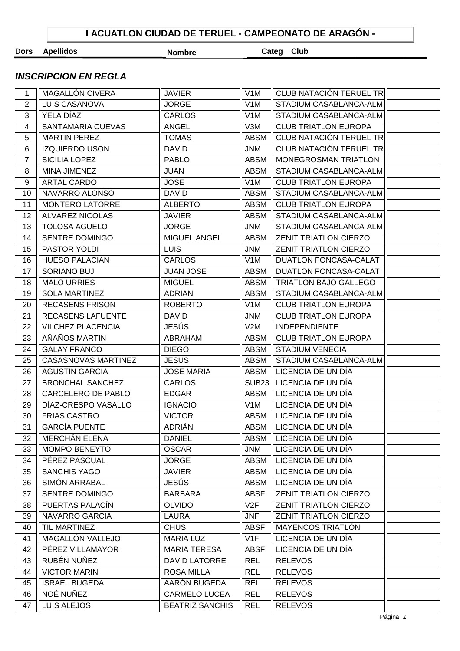## **Dors Apellidos Nombre Categ Club**

## **INSCRIPCION EN REGLA**

| 1              | MAGALLÓN CIVERA            | <b>JAVIER</b>          | V <sub>1</sub> M | CLUB NATACIÓN TERUEL TR      |  |
|----------------|----------------------------|------------------------|------------------|------------------------------|--|
| $\overline{2}$ | LUIS CASANOVA              | <b>JORGE</b>           | V <sub>1</sub> M | STADIUM CASABLANCA-ALM       |  |
| 3              | YELA DÍAZ                  | <b>CARLOS</b>          | V <sub>1</sub> M | STADIUM CASABLANCA-ALM       |  |
| 4              | SANTAMARIA CUEVAS          | <b>ANGEL</b>           | V3M              | <b>CLUB TRIATLON EUROPA</b>  |  |
| 5              | <b>MARTIN PEREZ</b>        | <b>TOMAS</b>           | <b>ABSM</b>      | CLUB NATACIÓN TERUEL TR      |  |
| 6              | <b>IZQUIERDO USON</b>      | <b>DAVID</b>           | <b>JNM</b>       | CLUB NATACIÓN TERUEL TR      |  |
| $\overline{7}$ | SICILIA LOPEZ              | <b>PABLO</b>           | <b>ABSM</b>      | MONEGROSMAN TRIATLON         |  |
| 8              | MINA JIMENEZ               | <b>JUAN</b>            | <b>ABSM</b>      | STADIUM CASABLANCA-ALM       |  |
| 9              | <b>ARTAL CARDO</b>         | <b>JOSE</b>            | V <sub>1</sub> M | <b>CLUB TRIATLON EUROPA</b>  |  |
| 10             | NAVARRO ALONSO             | <b>DAVID</b>           | <b>ABSM</b>      | STADIUM CASABLANCA-ALM       |  |
| 11             | MONTERO LATORRE            | <b>ALBERTO</b>         | <b>ABSM</b>      | <b>CLUB TRIATLON EUROPA</b>  |  |
| 12             | ALVAREZ NICOLAS            | <b>JAVIER</b>          | <b>ABSM</b>      | STADIUM CASABLANCA-ALM       |  |
| 13             | <b>TOLOSA AGUELO</b>       | <b>JORGE</b>           | <b>JNM</b>       | STADIUM CASABLANCA-ALM       |  |
| 14             | SENTRE DOMINGO             | MIGUEL ANGEL           | <b>ABSM</b>      | ZENIT TRIATLON CIERZO        |  |
| 15             | PASTOR YOLDI               | <b>LUIS</b>            | <b>JNM</b>       | ZENIT TRIATLON CIERZO        |  |
| 16             | <b>HUESO PALACIAN</b>      | <b>CARLOS</b>          | V <sub>1</sub> M | DUATLON FONCASA-CALAT        |  |
| 17             | SORIANO BUJ                | <b>JUAN JOSE</b>       | <b>ABSM</b>      | DUATLON FONCASA-CALAT        |  |
| 18             | <b>MALO URRIES</b>         | <b>MIGUEL</b>          | <b>ABSM</b>      | TRIATLON BAJO GALLEGO        |  |
| 19             | <b>SOLA MARTINEZ</b>       | <b>ADRIAN</b>          | <b>ABSM</b>      | STADIUM CASABLANCA-ALM       |  |
| 20             | <b>RECASENS FRISON</b>     | <b>ROBERTO</b>         | V <sub>1</sub> M | <b>CLUB TRIATLON EUROPA</b>  |  |
| 21             | RECASENS LAFUENTE          | <b>DAVID</b>           | <b>JNM</b>       | <b>CLUB TRIATLON EUROPA</b>  |  |
| 22             | <b>VILCHEZ PLACENCIA</b>   | <b>JESÚS</b>           | V2M              | <b>INDEPENDIENTE</b>         |  |
| 23             | AÑAÑOS MARTIN              | ABRAHAM                | <b>ABSM</b>      | <b>CLUB TRIATLON EUROPA</b>  |  |
| 24             | <b>GALAY FRANCO</b>        | <b>DIEGO</b>           | <b>ABSM</b>      | <b>STADIUM VENECIA</b>       |  |
| 25             | <b>CASASNOVAS MARTINEZ</b> | <b>JESUS</b>           | <b>ABSM</b>      | STADIUM CASABLANCA-ALM       |  |
| 26             | <b>AGUSTIN GARCIA</b>      | <b>JOSE MARIA</b>      | ABSM             | LICENCIA DE UN DÍA           |  |
| 27             | <b>BRONCHAL SANCHEZ</b>    | <b>CARLOS</b>          | <b>SUB23</b>     | LICENCIA DE UN DÍA           |  |
| 28             | CARCELERO DE PABLO         | <b>EDGAR</b>           | ABSM             | LICENCIA DE UN DÍA           |  |
| 29             | DÍAZ-CRESPO VASALLO        | <b>IGNACIO</b>         | V <sub>1</sub> M | LICENCIA DE UN DÍA           |  |
| 30             | <b>FRIAS CASTRO</b>        | <b>VICTOR</b>          | ABSM             | LICENCIA DE UN DÍA           |  |
| 31             | <b>GARCÍA PUENTE</b>       | ADRIÁN                 | <b>ABSM</b>      | LICENCIA DE UN DÍA           |  |
| 32             | MERCHÁN ELENA              | <b>DANIEL</b>          | ABSM             | LICENCIA DE UN DÍA           |  |
| 33             | <b>MOMPO BENEYTO</b>       | <b>OSCAR</b>           | <b>JNM</b>       | LICENCIA DE UN DÍA           |  |
| 34             | PÉREZ PASCUAL              | <b>JORGE</b>           | <b>ABSM</b>      | LICENCIA DE UN DÍA           |  |
| 35             | <b>SANCHIS YAGO</b>        | <b>JAVIER</b>          | <b>ABSM</b>      | LICENCIA DE UN DÍA           |  |
| 36             | SIMÓN ARRABAL              | <b>JESÚS</b>           | <b>ABSM</b>      | LICENCIA DE UN DÍA           |  |
| 37             | SENTRE DOMINGO             | <b>BARBARA</b>         | <b>ABSF</b>      | <b>ZENIT TRIATLON CIERZO</b> |  |
| 38             | PUERTAS PALACÍN            | <b>OLVIDO</b>          | V2F              | <b>ZENIT TRIATLON CIERZO</b> |  |
| 39             | <b>NAVARRO GARCIA</b>      | <b>LAURA</b>           | <b>JNF</b>       | <b>ZENIT TRIATLON CIERZO</b> |  |
| 40             | TIL MARTINEZ               | <b>CHUS</b>            | <b>ABSF</b>      | MAYENCOS TRIATLÓN            |  |
| 41             | MAGALLÓN VALLEJO           | <b>MARIA LUZ</b>       | V1F              | LICENCIA DE UN DÍA           |  |
| 42             | PÉREZ VILLAMAYOR           | <b>MARIA TERESA</b>    | <b>ABSF</b>      | LICENCIA DE UN DÍA           |  |
| 43             | RUBÉN NUÑEZ                | <b>DAVID LATORRE</b>   | <b>REL</b>       | <b>RELEVOS</b>               |  |
| 44             | <b>VICTOR MARIN</b>        | <b>ROSA MILLA</b>      | <b>REL</b>       | <b>RELEVOS</b>               |  |
| 45             | <b>ISRAEL BUGEDA</b>       | AARÓN BUGEDA           | <b>REL</b>       | <b>RELEVOS</b>               |  |
| 46             | NOÉ NUÑEZ                  | <b>CARMELO LUCEA</b>   | <b>REL</b>       | <b>RELEVOS</b>               |  |
| 47             | LUIS ALEJOS                | <b>BEATRIZ SANCHIS</b> | <b>REL</b>       | <b>RELEVOS</b>               |  |